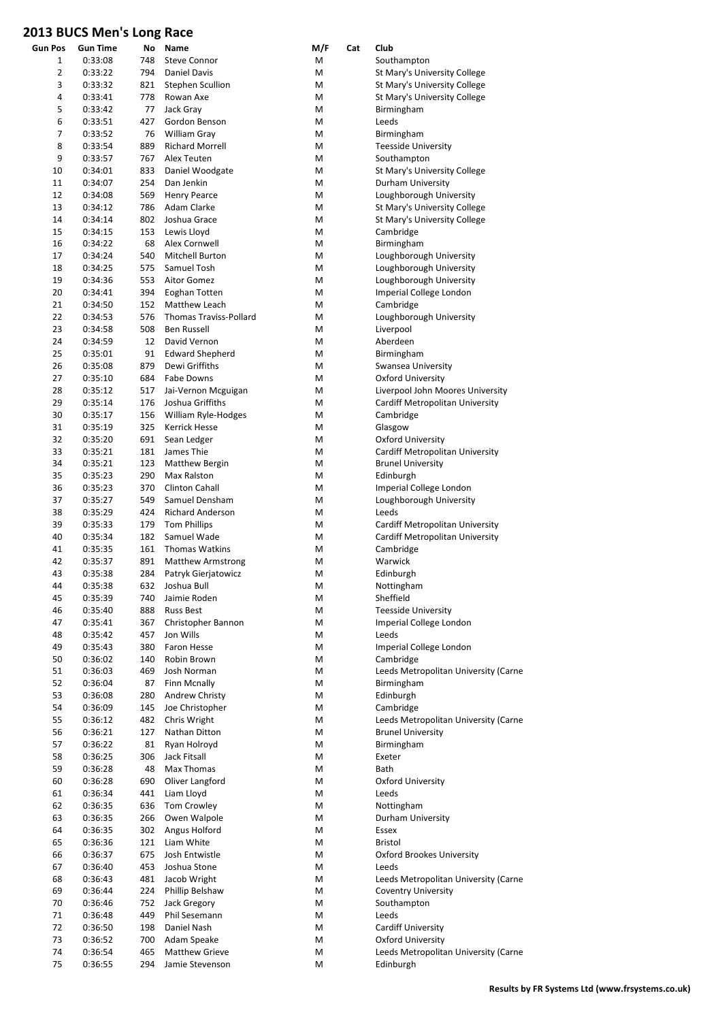| Gun Pos        | Gun Time | No  | Name                          | M/F | Cat | Club                                 |
|----------------|----------|-----|-------------------------------|-----|-----|--------------------------------------|
| 1              | 0:33:08  | 748 | <b>Steve Connor</b>           | M   |     | Southampton                          |
| $\overline{2}$ | 0:33:22  | 794 | <b>Daniel Davis</b>           | M   |     | St Mary's University College         |
| 3              | 0:33:32  | 821 | <b>Stephen Scullion</b>       | M   |     | St Mary's University College         |
| 4              | 0:33:41  | 778 | Rowan Axe                     | M   |     | St Mary's University College         |
| 5              | 0:33:42  | 77  | Jack Gray                     | M   |     | Birmingham                           |
|                | 0:33:51  |     |                               |     |     |                                      |
| 6              |          | 427 | Gordon Benson                 | M   |     | Leeds                                |
| 7              | 0:33:52  | 76  | William Gray                  | M   |     | Birmingham                           |
| 8              | 0:33:54  | 889 | <b>Richard Morrell</b>        | M   |     | <b>Teesside University</b>           |
| 9              | 0:33:57  | 767 | Alex Teuten                   | M   |     | Southampton                          |
| 10             | 0:34:01  | 833 | Daniel Woodgate               | M   |     | St Mary's University College         |
| 11             | 0:34:07  | 254 | Dan Jenkin                    | M   |     | Durham University                    |
| 12             | 0:34:08  | 569 | <b>Henry Pearce</b>           | M   |     | Loughborough University              |
| 13             | 0:34:12  | 786 | Adam Clarke                   | M   |     | St Mary's University College         |
|                |          |     |                               |     |     |                                      |
| 14             | 0:34:14  | 802 | Joshua Grace                  | M   |     | St Mary's University College         |
| 15             | 0:34:15  | 153 | Lewis Lloyd                   | M   |     | Cambridge                            |
| 16             | 0:34:22  | 68  | Alex Cornwell                 | M   |     | Birmingham                           |
| 17             | 0:34:24  | 540 | Mitchell Burton               | M   |     | Loughborough University              |
| 18             | 0:34:25  | 575 | Samuel Tosh                   | M   |     | Loughborough University              |
| 19             | 0:34:36  | 553 | Aitor Gomez                   | M   |     | Loughborough University              |
| 20             | 0:34:41  | 394 | Eoghan Totten                 | M   |     | Imperial College London              |
| 21             | 0:34:50  | 152 | Matthew Leach                 | M   |     | Cambridge                            |
| 22             | 0:34:53  | 576 | <b>Thomas Traviss-Pollard</b> | M   |     | Loughborough University              |
|                |          |     |                               |     |     |                                      |
| 23             | 0:34:58  | 508 | <b>Ben Russell</b>            | M   |     | Liverpool                            |
| 24             | 0:34:59  | 12  | David Vernon                  | M   |     | Aberdeen                             |
| 25             | 0:35:01  | 91  | <b>Edward Shepherd</b>        | M   |     | Birmingham                           |
| 26             | 0:35:08  | 879 | Dewi Griffiths                | M   |     | Swansea University                   |
| 27             | 0:35:10  | 684 | <b>Fabe Downs</b>             | M   |     | <b>Oxford University</b>             |
| 28             | 0:35:12  | 517 | Jai-Vernon Mcguigan           | M   |     | Liverpool John Moores University     |
| 29             | 0:35:14  | 176 | Joshua Griffiths              | M   |     | Cardiff Metropolitan University      |
| 30             | 0:35:17  | 156 | William Ryle-Hodges           | M   |     | Cambridge                            |
|                |          |     |                               |     |     |                                      |
| 31             | 0:35:19  | 325 | Kerrick Hesse                 | M   |     | Glasgow                              |
| 32             | 0:35:20  | 691 | Sean Ledger                   | M   |     | <b>Oxford University</b>             |
| 33             | 0:35:21  | 181 | James Thie                    | M   |     | Cardiff Metropolitan University      |
| 34             | 0:35:21  | 123 | Matthew Bergin                | M   |     | <b>Brunel University</b>             |
| 35             | 0:35:23  | 290 | Max Ralston                   | M   |     | Edinburgh                            |
| 36             | 0:35:23  | 370 | <b>Clinton Cahall</b>         | M   |     | Imperial College London              |
| 37             | 0:35:27  | 549 | Samuel Densham                | M   |     | Loughborough University              |
| 38             | 0:35:29  | 424 | <b>Richard Anderson</b>       | M   |     | Leeds                                |
|                |          |     |                               |     |     |                                      |
| 39             | 0:35:33  | 179 | <b>Tom Phillips</b>           | M   |     | Cardiff Metropolitan University      |
| 40             | 0:35:34  | 182 | Samuel Wade                   | M   |     | Cardiff Metropolitan University      |
| 41             | 0:35:35  | 161 | Thomas Watkins                | M   |     | Cambridge                            |
| 42             | 0:35:37  | 891 | <b>Matthew Armstrong</b>      | M   |     | Warwick                              |
| 43             | 0:35:38  | 284 | Patryk Gierjatowicz           | M   |     | Edinburgh                            |
| 44             | 0:35:38  | 632 | Joshua Bull                   | M   |     | Nottingham                           |
| 45             | 0:35:39  | 740 | Jaimie Roden                  | M   |     | Sheffield                            |
| 46             | 0:35:40  | 888 | <b>Russ Best</b>              | M   |     | <b>Teesside University</b>           |
|                |          |     |                               |     |     |                                      |
| 47             | 0:35:41  | 367 | Christopher Bannon            | M   |     | Imperial College London              |
| 48             | 0:35:42  | 457 | Jon Wills                     | M   |     | Leeds                                |
| 49             | 0:35:43  | 380 | Faron Hesse                   | Μ   |     | Imperial College London              |
| 50             | 0:36:02  | 140 | Robin Brown                   | M   |     | Cambridge                            |
| 51             | 0:36:03  | 469 | Josh Norman                   | М   |     | Leeds Metropolitan University (Carne |
| 52             | 0:36:04  | 87  | Finn Mcnally                  | Μ   |     | Birmingham                           |
| 53             | 0:36:08  | 280 | <b>Andrew Christy</b>         | Μ   |     | Edinburgh                            |
| 54             | 0:36:09  | 145 | Joe Christopher               | M   |     | Cambridge                            |
|                |          |     |                               |     |     |                                      |
| 55             | 0:36:12  | 482 | Chris Wright                  | M   |     | Leeds Metropolitan University (Carne |
| 56             | 0:36:21  | 127 | Nathan Ditton                 | Μ   |     | <b>Brunel University</b>             |
| 57             | 0:36:22  | 81  | Ryan Holroyd                  | M   |     | Birmingham                           |
| 58             | 0:36:25  | 306 | Jack Fitsall                  | M   |     | Exeter                               |
| 59             | 0:36:28  | 48  | Max Thomas                    | M   |     | Bath                                 |
| 60             | 0:36:28  | 690 | Oliver Langford               | Μ   |     | Oxford University                    |
| 61             | 0:36:34  | 441 | Liam Lloyd                    | Μ   |     | Leeds                                |
| 62             | 0:36:35  | 636 | Tom Crowley                   | М   |     | Nottingham                           |
|                |          |     |                               |     |     |                                      |
| 63             | 0:36:35  | 266 | Owen Walpole                  | Μ   |     | Durham University                    |
| 64             | 0:36:35  | 302 | Angus Holford                 | M   |     | Essex                                |
| 65             | 0:36:36  | 121 | Liam White                    | M   |     | <b>Bristol</b>                       |
| 66             | 0:36:37  | 675 | Josh Entwistle                | Μ   |     | <b>Oxford Brookes University</b>     |
| 67             | 0:36:40  | 453 | Joshua Stone                  | Μ   |     | Leeds                                |
| 68             | 0:36:43  | 481 | Jacob Wright                  | Μ   |     | Leeds Metropolitan University (Carne |
| 69             | 0:36:44  | 224 | Phillip Belshaw               | Μ   |     | <b>Coventry University</b>           |
| 70             |          |     |                               |     |     |                                      |
|                | 0:36:46  | 752 | Jack Gregory                  | М   |     | Southampton                          |
| 71             | 0:36:48  | 449 | Phil Sesemann                 | Μ   |     | Leeds                                |
| 72             | 0:36:50  | 198 | Daniel Nash                   | Μ   |     | <b>Cardiff University</b>            |
| 73             | 0:36:52  | 700 | Adam Speake                   | Μ   |     | Oxford University                    |
| 74             | 0:36:54  | 465 | Matthew Grieve                | M   |     | Leeds Metropolitan University (Carne |
| 75             | 0:36:55  | 294 | Jamie Stevenson               | M   |     | Edinburgh                            |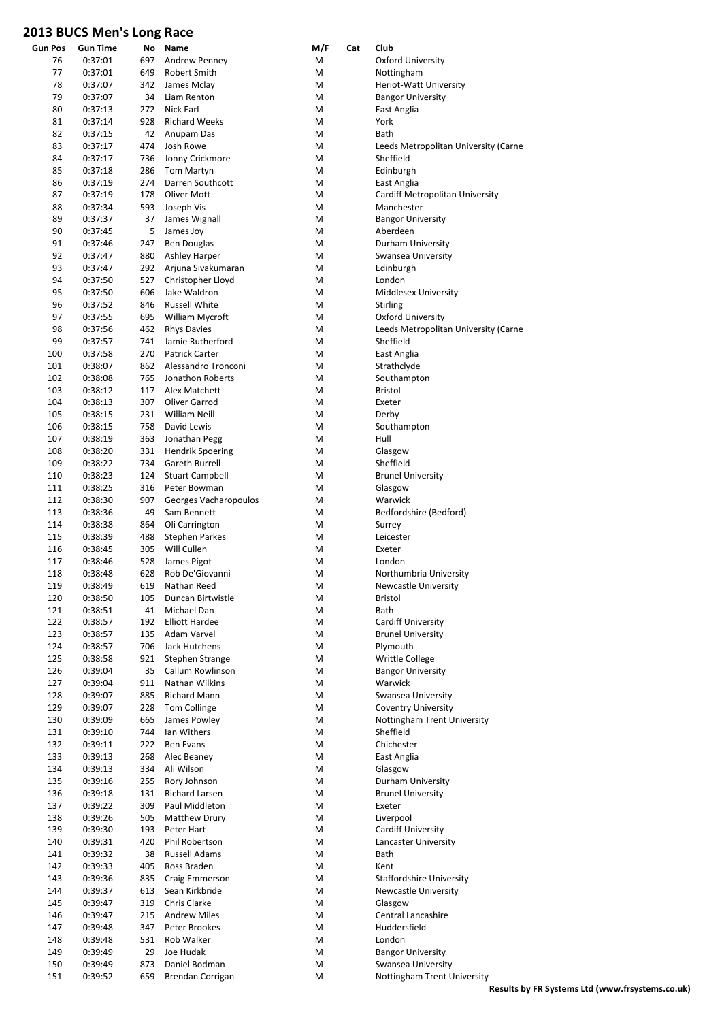| <b>Gun Pos</b> | <b>Gun Time</b>    | Νo         | Name                                 | M/F    | Cat | Club                      |
|----------------|--------------------|------------|--------------------------------------|--------|-----|---------------------------|
| 76             | 0:37:01            | 697        | <b>Andrew Penney</b>                 | М      |     | Oxford Un                 |
| 77             | 0:37:01            | 649        | Robert Smith                         | M      |     | Nottingha                 |
| 78             | 0:37:07            | 342        | James Mclay                          | M      |     | Heriot-Wa                 |
| 79             | 0:37:07            | 34         | Liam Renton                          | M      |     | <b>Bangor Ur</b>          |
| 80             | 0:37:13            | 272        | Nick Earl                            | M      |     | East Anglia               |
| 81             | 0:37:14            | 928        | <b>Richard Weeks</b>                 | M      |     | York                      |
| 82             | 0:37:15            | 42         | Anupam Das                           | M      |     | Bath                      |
| 83             | 0:37:17            | 474        | Josh Rowe                            | M      |     | Leeds Met                 |
| 84             | 0:37:17            | 736        | Jonny Crickmore                      | M      |     | Sheffield                 |
| 85             | 0:37:18            | 286<br>274 | <b>Tom Martyn</b>                    | M      |     | Edinburgh                 |
| 86<br>87       | 0:37:19<br>0:37:19 | 178        | Darren Southcott<br>Oliver Mott      | М<br>M |     | East Anglia<br>Cardiff Me |
| 88             | 0:37:34            | 593        | Joseph Vis                           | M      |     | Manchest                  |
| 89             | 0:37:37            | 37         | James Wignall                        | M      |     | <b>Bangor Ur</b>          |
| 90             | 0:37:45            | 5          | James Joy                            | M      |     | Aberdeen                  |
| 91             | 0:37:46            | 247        | <b>Ben Douglas</b>                   | M      |     | Durham U                  |
| 92             | 0:37:47            | 880        | Ashley Harper                        | M      |     | Swansea l                 |
| 93             | 0:37:47            | 292        | Arjuna Sivakumaran                   | M      |     | Edinburgh                 |
| 94             | 0:37:50            | 527        | Christopher Lloyd                    | M      |     | London                    |
| 95             | 0:37:50            | 606        | Jake Waldron                         | M      |     | Middlesex                 |
| 96             | 0:37:52            | 846        | <b>Russell White</b>                 | M      |     | Stirling                  |
| 97             | 0:37:55            | 695        | William Mycroft                      | M      |     | Oxford Un                 |
| 98             | 0:37:56            | 462        | <b>Rhys Davies</b>                   | Μ      |     | Leeds Met                 |
| 99             | 0:37:57            | 741        | Jamie Rutherford                     | M      |     | Sheffield                 |
| 100            | 0:37:58            | 270        | Patrick Carter                       | M      |     | East Anglia               |
| 101            | 0:38:07            | 862        | Alessandro Tronconi                  | M      |     | Strathclyd                |
| 102            | 0:38:08            | 765        | Jonathon Roberts                     | M      |     | Southamp                  |
| 103            | 0:38:12            | 117        | Alex Matchett                        | M      |     | Bristol                   |
| 104            | 0:38:13            | 307        | Oliver Garrod                        | Μ      |     | Exeter                    |
| 105            | 0:38:15            | 231        | William Neill                        | M      |     | Derby                     |
| 106            | 0:38:15            | 758        | David Lewis                          | M      |     | Southamp                  |
| 107            | 0:38:19            | 363        | Jonathan Pegg                        | M      |     | Hull                      |
| 108            | 0:38:20            | 331        | <b>Hendrik Spoering</b>              | M      |     | Glasgow                   |
| 109            | 0:38:22            | 734        | <b>Gareth Burrell</b>                | M      |     | Sheffield                 |
| 110            | 0:38:23            | 124        | <b>Stuart Campbell</b>               | M      |     | <b>Brunel Un</b>          |
| 111            | 0:38:25            | 316        | Peter Bowman                         | Μ      |     | Glasgow                   |
| 112            | 0:38:30            | 907        | Georges Vacharopoulos                | M      |     | Warwick                   |
| 113            | 0:38:36            | 49         | Sam Bennett                          | M      |     | Bedfordsh                 |
| 114            | 0:38:38            | 864        | Oli Carrington                       | M      |     | Surrey                    |
| 115            | 0:38:39            | 488        | <b>Stephen Parkes</b><br>Will Cullen | M      |     | Leicester                 |
| 116<br>117     | 0:38:45<br>0:38:46 | 305<br>528 | James Pigot                          | M<br>Μ |     | Exeter<br>London          |
| 118            | 0:38:48            | 628        | Rob De'Giovanni                      | Μ      |     | Northumb                  |
| 119            | 0:38:49            | 619        | Nathan Reed                          | M      |     | Newcastle                 |
| 120            | 0:38:50            | 105        | Duncan Birtwistle                    | М      |     | Bristol                   |
| 121            | 0:38:51            | 41         | Michael Dan                          | M      |     | Bath                      |
| 122            | 0:38:57            | 192        | <b>Elliott Hardee</b>                | M      |     | Cardiff Un                |
| 123            | 0:38:57            | 135        | Adam Varvel                          | М      |     | <b>Brunel Un</b>          |
| 124            | 0:38:57            | 706        | Jack Hutchens                        | M      |     | Plymouth                  |
| 125            | 0:38:58            | 921        | Stephen Strange                      | M      |     | Writtle Co                |
| 126            | 0:39:04            | 35         | Callum Rowlinson                     | М      |     | <b>Bangor Ur</b>          |
| 127            | 0:39:04            | 911        | Nathan Wilkins                       | M      |     | Warwick                   |
| 128            | 0:39:07            | 885        | Richard Mann                         | M      |     | Swansea l                 |
| 129            | 0:39:07            | 228        | Tom Collinge                         | M      |     | Coventry I                |
| 130            | 0:39:09            | 665        | James Powley                         | M      |     | Nottingha                 |
| 131            | 0:39:10            | 744        | Ian Withers                          | M      |     | Sheffield                 |
| 132            | 0:39:11            | 222        | <b>Ben Evans</b>                     | M      |     | Chichester                |
| 133            | 0:39:13            | 268        | Alec Beaney                          | M      |     | East Anglia               |
| 134            | 0:39:13            | 334        | Ali Wilson                           | M      |     | Glasgow                   |
| 135            | 0:39:16            | 255        | Rory Johnson                         | M      |     | Durham U                  |
| 136            | 0:39:18            | 131        | Richard Larsen                       | M      |     | <b>Brunel Un</b>          |
| 137            | 0:39:22            | 309        | Paul Middleton                       | M      |     | Exeter                    |
| 138            | 0:39:26            | 505        | <b>Matthew Drury</b>                 | M      |     | Liverpool                 |
| 139            | 0:39:30            | 193        | Peter Hart<br>Phil Robertson         | М<br>M |     | Cardiff Un<br>Lancaster   |
| 140<br>141     | 0:39:31            | 420<br>38  | Russell Adams                        | M      |     | Bath                      |
| 142            | 0:39:32<br>0:39:33 | 405        | Ross Braden                          | M      |     | Kent                      |
| 143            | 0:39:36            | 835        | Craig Emmerson                       | M      |     | Staffordsh                |
| 144            | 0:39:37            | 613        | Sean Kirkbride                       | M      |     | Newcastle                 |
| 145            | 0:39:47            | 319        | Chris Clarke                         | М      |     | Glasgow                   |
| 146            | 0:39:47            | 215        | <b>Andrew Miles</b>                  | M      |     | Central La                |
| 147            | 0:39:48            | 347        | Peter Brookes                        | M      |     | Huddersfi                 |
| 148            | 0:39:48            | 531        | Rob Walker                           | M      |     | London                    |
| 149            | 0:39:49            | 29         | Joe Hudak                            | M      |     | <b>Bangor Ur</b>          |
| 150            | 0:39:49            | 873        | Daniel Bodman                        | M      |     | Swansea l                 |
| 151            | 0:39:52            | 659        | Brendan Corrigan                     | M      |     | Nottingha                 |

Oxford University Nottingham Heriot-Watt University Bangor University East Anglia Leeds Metropolitan University (Carne East Anglia Cardiff Metropolitan University Manchester **Bangor University** Aberdeen Durham University Swansea University Edinburgh Middlesex University Oxford University Leeds Metropolitan University (Carne<br>Sheffield East Anglia Strathclyde Southampton Southampton **Brunel University** Bedfordshire (Bedford) Northumbria University Newcastle University Cardiff University Brunel University<br>Plymouth Writtle College **Bangor University** Swansea University Coventry University Nottingham Trent University<br>Sheffield Chichester East Anglia Durham University **Brunel University** Cardiff University Lancaster University<br>Bath Staffordshire University Newcastle University Central Lancashire Huddersfield<br>London **Bangor University** Swansea University

Nottingham Trent University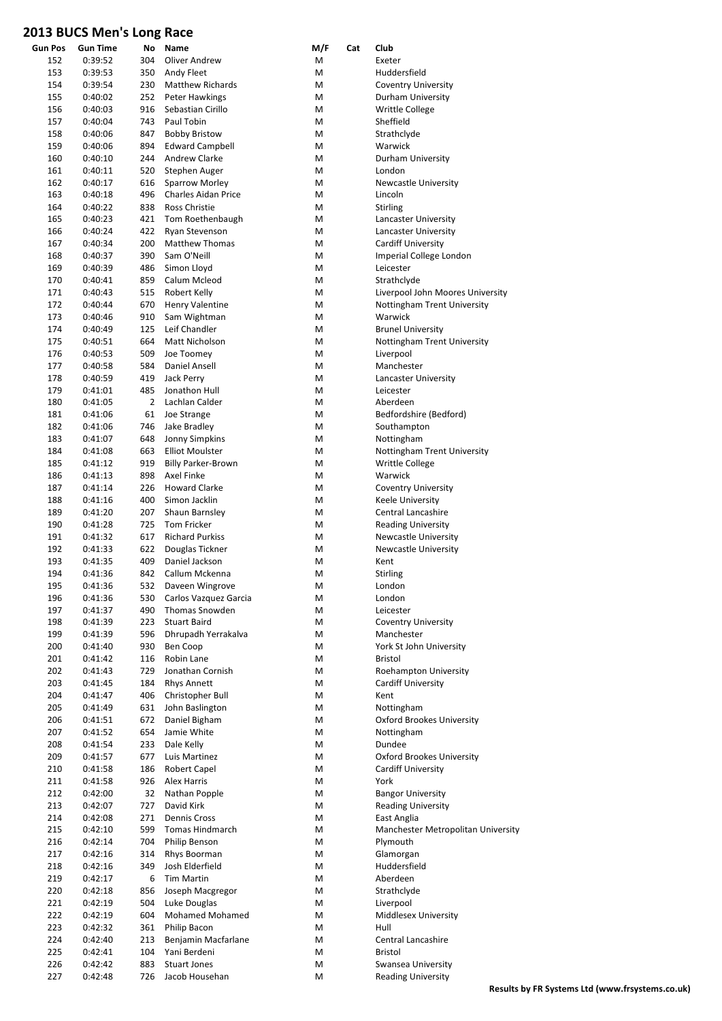| <b>Gun Pos</b> | Gun Time | No  | Name                      | M/F | Cat | Club                               |
|----------------|----------|-----|---------------------------|-----|-----|------------------------------------|
| 152            | 0:39:52  | 304 | Oliver Andrew             | М   |     | Exeter                             |
| 153            | 0:39:53  | 350 | Andy Fleet                | M   |     | Huddersfield                       |
| 154            | 0:39:54  | 230 | <b>Matthew Richards</b>   | M   |     | <b>Coventry University</b>         |
| 155            | 0:40:02  | 252 | Peter Hawkings            | M   |     | Durham University                  |
| 156            | 0:40:03  | 916 | Sebastian Cirillo         | M   |     | <b>Writtle College</b>             |
| 157            | 0:40:04  | 743 | Paul Tobin                | M   |     | Sheffield                          |
|                |          |     |                           |     |     |                                    |
| 158            | 0:40:06  | 847 | <b>Bobby Bristow</b>      | M   |     | Strathclyde                        |
| 159            | 0:40:06  | 894 | <b>Edward Campbell</b>    | M   |     | Warwick                            |
| 160            | 0:40:10  | 244 | Andrew Clarke             | M   |     | Durham University                  |
| 161            | 0:40:11  | 520 | Stephen Auger             | M   |     | London                             |
| 162            | 0:40:17  | 616 | <b>Sparrow Morley</b>     | M   |     | <b>Newcastle University</b>        |
| 163            | 0:40:18  | 496 | Charles Aidan Price       | М   |     | Lincoln                            |
|                |          |     | Ross Christie             |     |     |                                    |
| 164            | 0:40:22  | 838 |                           | M   |     | <b>Stirling</b>                    |
| 165            | 0:40:23  | 421 | Tom Roethenbaugh          | M   |     | Lancaster University               |
| 166            | 0:40:24  | 422 | Ryan Stevenson            | M   |     | Lancaster University               |
| 167            | 0:40:34  | 200 | <b>Matthew Thomas</b>     | М   |     | <b>Cardiff University</b>          |
| 168            | 0:40:37  | 390 | Sam O'Neill               | M   |     | Imperial College London            |
| 169            | 0:40:39  | 486 | Simon Lloyd               | М   |     | Leicester                          |
| 170            | 0:40:41  | 859 | Calum Mcleod              |     |     |                                    |
|                |          |     |                           | М   |     | Strathclyde                        |
| 171            | 0:40:43  | 515 | Robert Kelly              | M   |     | Liverpool John Moores University   |
| 172            | 0:40:44  | 670 | Henry Valentine           | M   |     | Nottingham Trent University        |
| 173            | 0:40:46  | 910 | Sam Wightman              | М   |     | Warwick                            |
| 174            | 0:40:49  | 125 | Leif Chandler             | M   |     | <b>Brunel University</b>           |
| 175            | 0:40:51  | 664 | Matt Nicholson            | M   |     | Nottingham Trent University        |
| 176            |          | 509 |                           |     |     |                                    |
|                | 0:40:53  |     | Joe Toomey                | M   |     | Liverpool                          |
| 177            | 0:40:58  | 584 | <b>Daniel Ansell</b>      | M   |     | Manchester                         |
| 178            | 0:40:59  | 419 | Jack Perry                | M   |     | Lancaster University               |
| 179            | 0:41:01  | 485 | Jonathon Hull             | M   |     | Leicester                          |
| 180            | 0:41:05  | 2   | Lachlan Calder            | M   |     | Aberdeen                           |
| 181            | 0:41:06  | 61  | Joe Strange               | M   |     | Bedfordshire (Bedford)             |
|                |          |     |                           |     |     |                                    |
| 182            | 0:41:06  | 746 | Jake Bradley              | M   |     | Southampton                        |
| 183            | 0:41:07  | 648 | <b>Jonny Simpkins</b>     | M   |     | Nottingham                         |
| 184            | 0:41:08  | 663 | <b>Elliot Moulster</b>    | М   |     | Nottingham Trent University        |
| 185            | 0:41:12  | 919 | <b>Billy Parker-Brown</b> | M   |     | Writtle College                    |
| 186            | 0:41:13  | 898 | Axel Finke                | M   |     | Warwick                            |
| 187            | 0:41:14  | 226 | <b>Howard Clarke</b>      | Μ   |     | <b>Coventry University</b>         |
| 188            | 0:41:16  | 400 | Simon Jacklin             | М   |     |                                    |
|                |          |     |                           |     |     | Keele University                   |
| 189            | 0:41:20  | 207 | Shaun Barnsley            | M   |     | Central Lancashire                 |
| 190            | 0:41:28  | 725 | <b>Tom Fricker</b>        | M   |     | <b>Reading University</b>          |
| 191            | 0:41:32  | 617 | <b>Richard Purkiss</b>    | М   |     | <b>Newcastle University</b>        |
| 192            | 0:41:33  | 622 | Douglas Tickner           | М   |     | <b>Newcastle University</b>        |
| 193            | 0:41:35  | 409 | Daniel Jackson            | М   |     | Kent                               |
| 194            | 0:41:36  | 842 | Callum Mckenna            | М   |     | <b>Stirling</b>                    |
|                |          |     |                           |     |     |                                    |
| 195            | 0:41:36  | 532 | Daveen Wingrove           | M   |     | London                             |
| 196            | 0:41:36  | 530 | Carlos Vazquez Garcia     | M   |     | London                             |
| 197            | 0:41:37  | 490 | Thomas Snowden            | Μ   |     | Leicester                          |
| 198            | 0:41:39  | 223 | <b>Stuart Baird</b>       | M   |     | <b>Coventry University</b>         |
| 199            | 0:41:39  | 596 | Dhrupadh Yerrakalva       | M   |     | Manchester                         |
| 200            | 0:41:40  | 930 | Ben Coop                  | M   |     | York St John University            |
|                | 0:41:42  |     |                           |     |     |                                    |
| 201            |          | 116 | Robin Lane                | Μ   |     | Bristol                            |
| 202            | 0:41:43  | 729 | Jonathan Cornish          | M   |     | Roehampton University              |
| 203            | 0:41:45  | 184 | Rhys Annett               | M   |     | <b>Cardiff University</b>          |
| 204            | 0:41:47  | 406 | Christopher Bull          | Μ   |     | Kent                               |
| 205            | 0:41:49  | 631 | John Baslington           | M   |     | Nottingham                         |
| 206            | 0:41:51  | 672 | Daniel Bigham             | M   |     | <b>Oxford Brookes University</b>   |
| 207            | 0:41:52  | 654 | Jamie White               | M   |     | Nottingham                         |
|                |          |     |                           |     |     |                                    |
| 208            | 0:41:54  | 233 | Dale Kelly                | M   |     | Dundee                             |
| 209            | 0:41:57  | 677 | Luis Martinez             | M   |     | <b>Oxford Brookes University</b>   |
| 210            | 0:41:58  | 186 | Robert Capel              | M   |     | <b>Cardiff University</b>          |
| 211            | 0:41:58  | 926 | Alex Harris               | M   |     | York                               |
| 212            | 0:42:00  | 32  | Nathan Popple             | M   |     | <b>Bangor University</b>           |
| 213            | 0:42:07  | 727 | David Kirk                | M   |     | <b>Reading University</b>          |
|                |          |     |                           |     |     |                                    |
| 214            | 0:42:08  | 271 | Dennis Cross              | M   |     | East Anglia                        |
| 215            | 0:42:10  | 599 | Tomas Hindmarch           | M   |     | Manchester Metropolitan University |
| 216            | 0:42:14  | 704 | Philip Benson             | M   |     | Plymouth                           |
| 217            | 0:42:16  | 314 | Rhys Boorman              | M   |     | Glamorgan                          |
| 218            | 0:42:16  | 349 | Josh Elderfield           | M   |     | Huddersfield                       |
| 219            | 0:42:17  | 6   | Tim Martin                | M   |     | Aberdeen                           |
|                |          |     |                           |     |     |                                    |
| 220            | 0:42:18  | 856 | Joseph Macgregor          | M   |     | Strathclyde                        |
| 221            | 0:42:19  | 504 | Luke Douglas              | M   |     | Liverpool                          |
| 222            | 0:42:19  | 604 | Mohamed Mohamed           | Μ   |     | Middlesex University               |
| 223            | 0:42:32  | 361 | Philip Bacon              | M   |     | Hull                               |
| 224            | 0:42:40  | 213 | Benjamin Macfarlane       | M   |     | Central Lancashire                 |
| 225            | 0:42:41  | 104 | Yani Berdeni              | M   |     | Bristol                            |
|                |          |     |                           |     |     |                                    |
| 226            | 0:42:42  | 883 | <b>Stuart Jones</b>       | Μ   |     | Swansea University                 |
| 227            | 0:42:48  | 726 | Jacob Househan            | M   |     | <b>Reading University</b>          |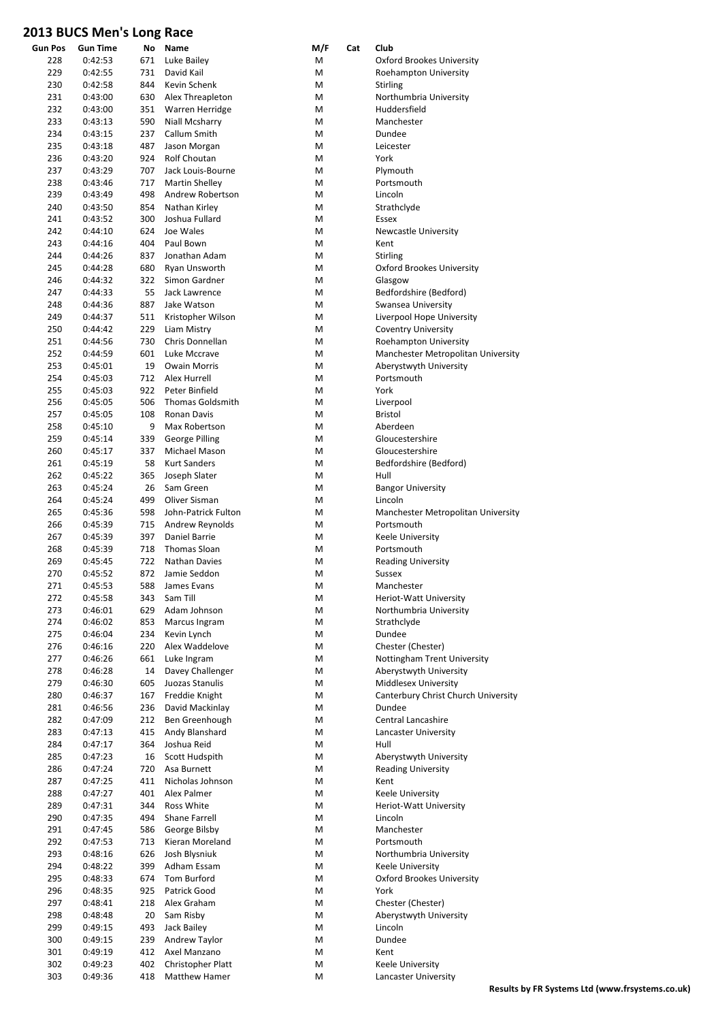| Gun Pos | Gun Time | No  | Name                    | M/F | Cat | Club                                |
|---------|----------|-----|-------------------------|-----|-----|-------------------------------------|
| 228     | 0:42:53  | 671 | Luke Bailey             | М   |     | Oxford Brookes University           |
| 229     | 0:42:55  | 731 | David Kail              | M   |     | Roehampton University               |
| 230     | 0:42:58  | 844 | Kevin Schenk            | м   |     | <b>Stirling</b>                     |
| 231     | 0:43:00  | 630 | Alex Threapleton        | м   |     | Northumbria University              |
| 232     | 0:43:00  | 351 | Warren Herridge         | м   |     | Huddersfield                        |
|         |          |     |                         |     |     |                                     |
| 233     | 0:43:13  | 590 | Niall Mcsharry          | м   |     | Manchester                          |
| 234     | 0:43:15  | 237 | Callum Smith            | м   |     | Dundee                              |
| 235     | 0:43:18  | 487 | Jason Morgan            | м   |     | Leicester                           |
| 236     | 0:43:20  | 924 | Rolf Choutan            | м   |     | York                                |
| 237     | 0:43:29  | 707 | Jack Louis-Bourne       | М   |     | Plymouth                            |
| 238     | 0:43:46  | 717 | <b>Martin Shelley</b>   | м   |     | Portsmouth                          |
| 239     | 0:43:49  | 498 | Andrew Robertson        | М   |     | Lincoln                             |
| 240     | 0:43:50  | 854 | Nathan Kirley           | М   |     | Strathclyde                         |
|         |          |     |                         |     |     |                                     |
| 241     | 0:43:52  | 300 | Joshua Fullard          | м   |     | Essex                               |
| 242     | 0:44:10  | 624 | Joe Wales               | м   |     | <b>Newcastle University</b>         |
| 243     | 0:44:16  | 404 | Paul Bown               | М   |     | Kent                                |
| 244     | 0:44:26  | 837 | Jonathan Adam           | м   |     | <b>Stirling</b>                     |
| 245     | 0:44:28  | 680 | Ryan Unsworth           | м   |     | Oxford Brookes University           |
| 246     | 0:44:32  | 322 | Simon Gardner           | м   |     | Glasgow                             |
| 247     | 0:44:33  | 55  | Jack Lawrence           | м   |     | Bedfordshire (Bedford)              |
| 248     |          | 887 |                         |     |     |                                     |
|         | 0:44:36  |     | Jake Watson             | м   |     | Swansea University                  |
| 249     | 0:44:37  | 511 | Kristopher Wilson       | м   |     | Liverpool Hope University           |
| 250     | 0:44:42  | 229 | Liam Mistry             | м   |     | <b>Coventry University</b>          |
| 251     | 0:44:56  | 730 | Chris Donnellan         | м   |     | Roehampton University               |
| 252     | 0:44:59  | 601 | Luke Mccrave            | м   |     | Manchester Metropolitan University  |
| 253     | 0:45:01  | 19  | <b>Owain Morris</b>     | м   |     | Aberystwyth University              |
| 254     | 0:45:03  | 712 | Alex Hurrell            | М   |     | Portsmouth                          |
|         |          |     | Peter Binfield          |     |     |                                     |
| 255     | 0:45:03  | 922 |                         | м   |     | York                                |
| 256     | 0:45:05  | 506 | <b>Thomas Goldsmith</b> | м   |     | Liverpool                           |
| 257     | 0:45:05  | 108 | <b>Ronan Davis</b>      | м   |     | <b>Bristol</b>                      |
| 258     | 0:45:10  | 9   | Max Robertson           | м   |     | Aberdeen                            |
| 259     | 0:45:14  | 339 | George Pilling          | м   |     | Gloucestershire                     |
| 260     | 0:45:17  | 337 | Michael Mason           | м   |     | Gloucestershire                     |
| 261     | 0:45:19  | 58  | <b>Kurt Sanders</b>     | м   |     | Bedfordshire (Bedford)              |
| 262     |          |     |                         |     |     |                                     |
|         | 0:45:22  | 365 | Joseph Slater           | м   |     | Hull                                |
| 263     | 0:45:24  | 26  | Sam Green               | м   |     | <b>Bangor University</b>            |
| 264     | 0:45:24  | 499 | Oliver Sisman           | м   |     | Lincoln                             |
| 265     | 0:45:36  | 598 | John-Patrick Fulton     | М   |     | Manchester Metropolitan University  |
| 266     | 0:45:39  | 715 | Andrew Reynolds         | м   |     | Portsmouth                          |
| 267     | 0:45:39  | 397 | Daniel Barrie           | м   |     | Keele University                    |
| 268     | 0:45:39  | 718 | <b>Thomas Sloan</b>     | М   |     | Portsmouth                          |
| 269     | 0:45:45  | 722 | Nathan Davies           | М   |     | <b>Reading University</b>           |
| 270     |          | 872 |                         |     |     |                                     |
|         | 0:45:52  |     | Jamie Seddon            | М   |     | Sussex                              |
| 271     | 0:45:53  | 588 | James Evans             | М   |     | Manchester                          |
| 272     | 0:45:58  | 343 | Sam Till                | M   |     | Heriot-Watt University              |
| 273     | 0:46:01  | 629 | Adam Johnson            | M   |     | Northumbria University              |
| 274     | 0:46:02  | 853 | Marcus Ingram           | M   |     | Strathclyde                         |
| 275     | 0:46:04  | 234 | Kevin Lynch             | М   |     | Dundee                              |
| 276     | 0:46:16  | 220 | Alex Waddelove          | M   |     | Chester (Chester)                   |
| 277     | 0:46:26  | 661 | Luke Ingram             | M   |     | Nottingham Trent University         |
| 278     |          |     |                         |     |     |                                     |
|         | 0:46:28  | 14  | Davey Challenger        | М   |     | Aberystwyth University              |
| 279     | 0:46:30  | 605 | Juozas Stanulis         | M   |     | Middlesex University                |
| 280     | 0:46:37  | 167 | Freddie Knight          | M   |     | Canterbury Christ Church University |
| 281     | 0:46:56  | 236 | David Mackinlay         | M   |     | Dundee                              |
| 282     | 0:47:09  | 212 | Ben Greenhough          | M   |     | <b>Central Lancashire</b>           |
| 283     | 0:47:13  | 415 | Andy Blanshard          | M   |     | Lancaster University                |
| 284     | 0:47:17  | 364 | Joshua Reid             | M   |     | Hull                                |
| 285     | 0:47:23  | 16  | Scott Hudspith          | М   |     | Aberystwyth University              |
|         |          |     |                         |     |     |                                     |
| 286     | 0:47:24  | 720 | Asa Burnett             | М   |     | <b>Reading University</b>           |
| 287     | 0:47:25  | 411 | Nicholas Johnson        | M   |     | Kent                                |
| 288     | 0:47:27  | 401 | Alex Palmer             | M   |     | Keele University                    |
| 289     | 0:47:31  | 344 | Ross White              | М   |     | Heriot-Watt University              |
| 290     | 0:47:35  | 494 | Shane Farrell           | M   |     | Lincoln                             |
| 291     | 0:47:45  | 586 | George Bilsby           | M   |     | Manchester                          |
| 292     | 0:47:53  | 713 | Kieran Moreland         | M   |     | Portsmouth                          |
| 293     |          | 626 |                         |     |     |                                     |
|         | 0:48:16  |     | Josh Blysniuk           | M   |     | Northumbria University              |
| 294     | 0:48:22  | 399 | Adham Essam             | М   |     | Keele University                    |
| 295     | 0:48:33  | 674 | Tom Burford             | M   |     | <b>Oxford Brookes University</b>    |
| 296     | 0:48:35  | 925 | Patrick Good            | M   |     | York                                |
| 297     | 0:48:41  | 218 | Alex Graham             | М   |     | Chester (Chester)                   |
| 298     | 0:48:48  | 20  | Sam Risby               | M   |     | Aberystwyth University              |
| 299     | 0:49:15  | 493 | Jack Bailey             | M   |     | Lincoln                             |
| 300     | 0:49:15  | 239 | Andrew Taylor           | M   |     | Dundee                              |
|         |          |     |                         |     |     |                                     |
| 301     | 0:49:19  | 412 | Axel Manzano            | M   |     | Kent                                |
| 302     | 0:49:23  | 402 | Christopher Platt       | М   |     | Keele University                    |
| 303     | 0:49:36  | 418 | Matthew Hamer           | М   |     | Lancaster University                |